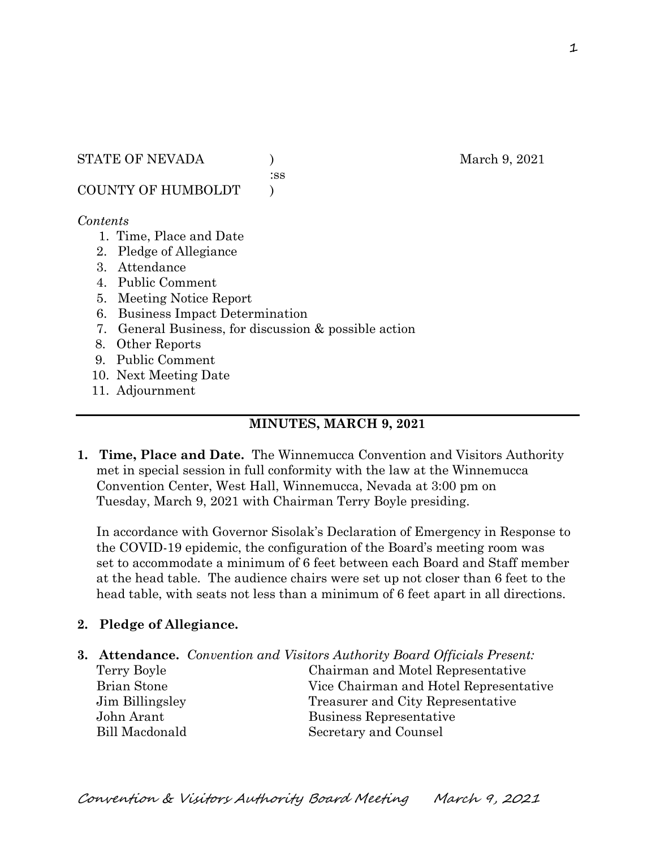#### STATE OF NEVADA ) March 9, 2021

:ss

COUNTY OF HUMBOLDT )

### *Contents*

- 1. Time, Place and Date
- 2. Pledge of Allegiance
- 3. Attendance
- 4. Public Comment
- 5. Meeting Notice Report
- 6. Business Impact Determination
- 7. General Business, for discussion & possible action
- 8. Other Reports
- 9. Public Comment
- 10. Next Meeting Date
- 11. Adjournment

## **MINUTES, MARCH 9, 2021**

**1. Time, Place and Date.** The Winnemucca Convention and Visitors Authority met in special session in full conformity with the law at the Winnemucca Convention Center, West Hall, Winnemucca, Nevada at 3:00 pm on Tuesday, March 9, 2021 with Chairman Terry Boyle presiding.

In accordance with Governor Sisolak's Declaration of Emergency in Response to the COVID-19 epidemic, the configuration of the Board's meeting room was set to accommodate a minimum of 6 feet between each Board and Staff member at the head table. The audience chairs were set up not closer than 6 feet to the head table, with seats not less than a minimum of 6 feet apart in all directions.

## **2. Pledge of Allegiance.**

|             | <b>3. Attendance.</b> Convention and Visitors Authority Board Officials Present: |
|-------------|----------------------------------------------------------------------------------|
| Terry Boyle | Chairman and Motel Representative                                                |
|             | $\sim$ $\sim$ $\sim$ $\sim$ $\sim$ $\sim$ $\sim$                                 |

Brian Stone Vice Chairman and Hotel Representative Jim Billingsley Treasurer and City Representative John Arant Business Representative Bill Macdonald Secretary and Counsel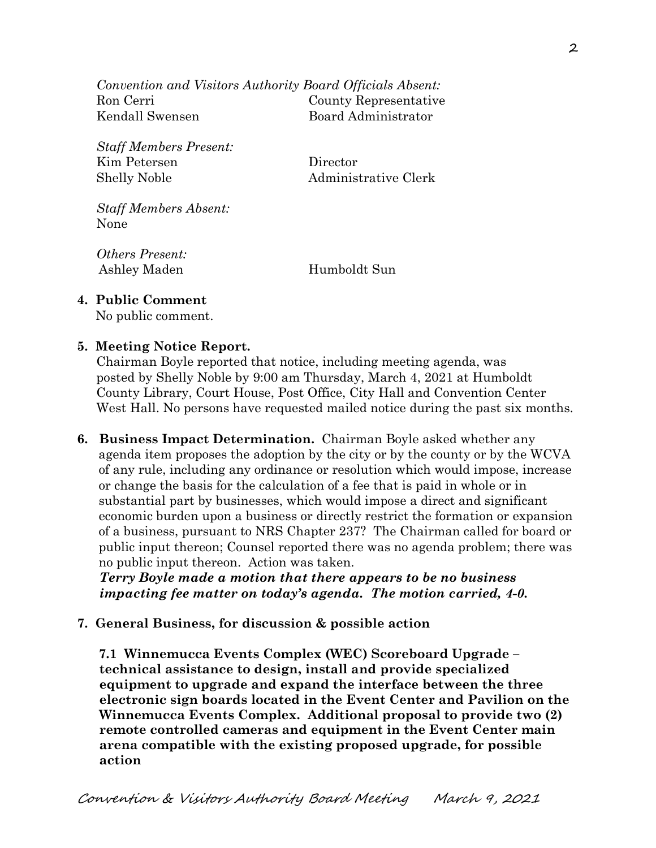*Convention and Visitors Authority Board Officials Absent:* Ron Cerri County Representative Kendall Swensen Board Administrator

*Staff Members Present:* Kim Petersen Director Shelly Noble Administrative Clerk

*Staff Members Absent:* None

*Others Present:* Ashley Maden Humboldt Sun

# **4. Public Comment**

No public comment.

## **5. Meeting Notice Report.**

Chairman Boyle reported that notice, including meeting agenda, was posted by Shelly Noble by 9:00 am Thursday, March 4, 2021 at Humboldt County Library, Court House, Post Office, City Hall and Convention Center West Hall. No persons have requested mailed notice during the past six months.

**6. Business Impact Determination.** Chairman Boyle asked whether any agenda item proposes the adoption by the city or by the county or by the WCVA of any rule, including any ordinance or resolution which would impose, increase or change the basis for the calculation of a fee that is paid in whole or in substantial part by businesses, which would impose a direct and significant economic burden upon a business or directly restrict the formation or expansion of a business, pursuant to NRS Chapter 237? The Chairman called for board or public input thereon; Counsel reported there was no agenda problem; there was no public input thereon. Action was taken.

 *Terry Boyle made a motion that there appears to be no business impacting fee matter on today's agenda. The motion carried, 4-0.* 

# **7. General Business, for discussion & possible action**

 **7.1 Winnemucca Events Complex (WEC) Scoreboard Upgrade – technical assistance to design, install and provide specialized equipment to upgrade and expand the interface between the three electronic sign boards located in the Event Center and Pavilion on the Winnemucca Events Complex. Additional proposal to provide two (2) remote controlled cameras and equipment in the Event Center main arena compatible with the existing proposed upgrade, for possible action**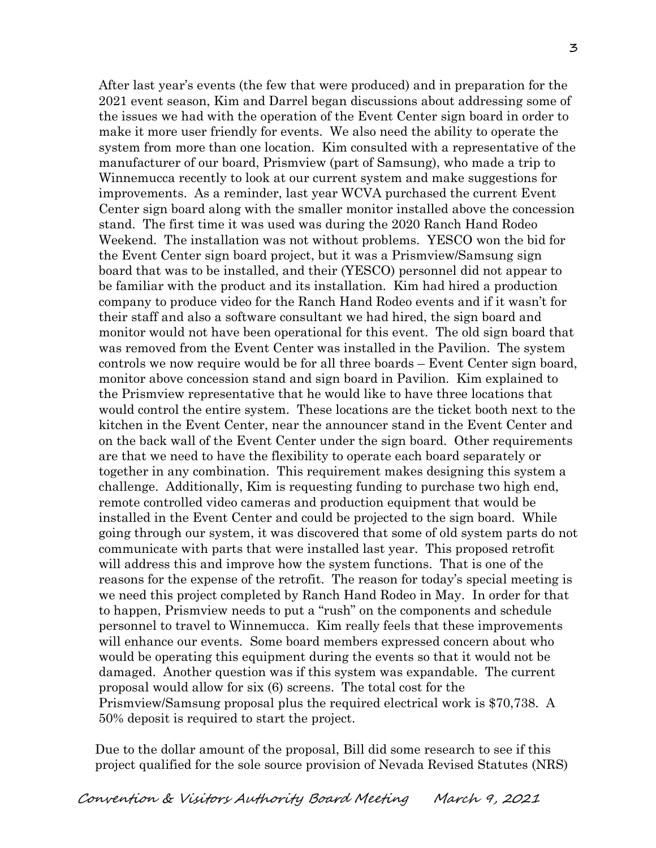After last year's events (the few that were produced) and in preparation for the 2021 event season, Kim and Darrel began discussions about addressing some of the issues we had with the operation of the Event Center sign board in order to make it more user friendly for events. We also need the ability to operate the system from more than one location. Kim consulted with a representative of the manufacturer of our board, Prismview (part of Samsung), who made a trip to Winnemucca recently to look at our current system and make suggestions for improvements. As a reminder, last year WCVA purchased the current Event Center sign board along with the smaller monitor installed above the concession stand. The first time it was used was during the 2020 Ranch Hand Rodeo Weekend. The installation was not without problems. YESCO won the bid for the Event Center sign board project, but it was a Prismview/Samsung sign board that was to be installed, and their (YESCO) personnel did not appear to be familiar with the product and its installation. Kim had hired a production company to produce video for the Ranch Hand Rodeo events and if it wasn't for their staff and also a software consultant we had hired, the sign board and monitor would not have been operational for this event. The old sign board that was removed from the Event Center was installed in the Pavilion. The system controls we now require would be for all three boards – Event Center sign board, monitor above concession stand and sign board in Pavilion. Kim explained to the Prismview representative that he would like to have three locations that would control the entire system. These locations are the ticket booth next to the kitchen in the Event Center, near the announcer stand in the Event Center and on the back wall of the Event Center under the sign board. Other requirements are that we need to have the flexibility to operate each board separately or together in any combination. This requirement makes designing this system a challenge. Additionally, Kim is requesting funding to purchase two high end, remote controlled video cameras and production equipment that would be installed in the Event Center and could be projected to the sign board. While going through our system, it was discovered that some of old system parts do not communicate with parts that were installed last year. This proposed retrofit will address this and improve how the system functions. That is one of the reasons for the expense of the retrofit. The reason for today's special meeting is we need this project completed by Ranch Hand Rodeo in May. In order for that to happen, Prismview needs to put a "rush" on the components and schedule personnel to travel to Winnemucca. Kim really feels that these improvements will enhance our events. Some board members expressed concern about who would be operating this equipment during the events so that it would not be damaged. Another question was if this system was expandable. The current proposal would allow for six (6) screens. The total cost for the Prismview/Samsung proposal plus the required electrical work is \$70,738. A 50% deposit is required to start the project.

 Due to the dollar amount of the proposal, Bill did some research to see if this project qualified for the sole source provision of Nevada Revised Statutes (NRS)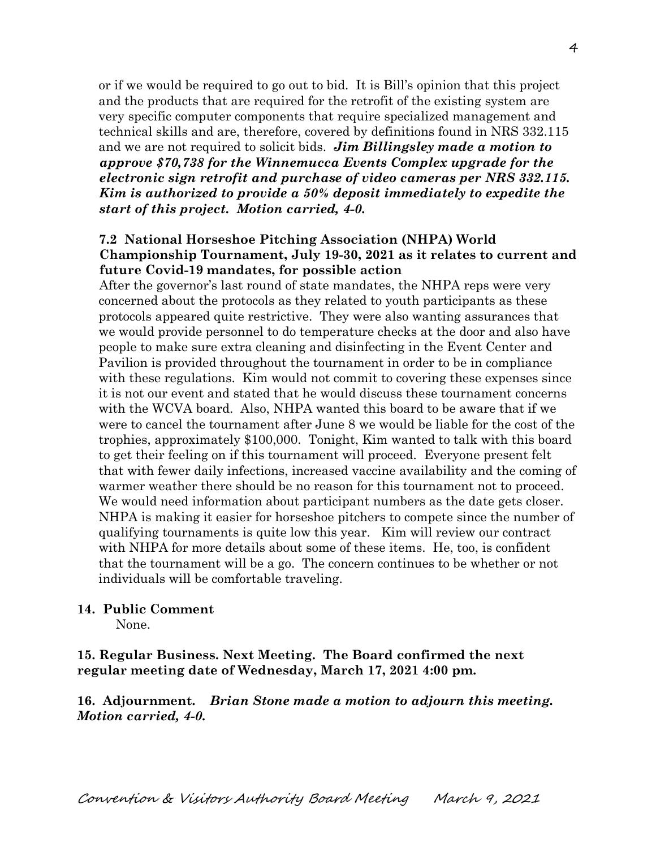or if we would be required to go out to bid. It is Bill's opinion that this project and the products that are required for the retrofit of the existing system are very specific computer components that require specialized management and technical skills and are, therefore, covered by definitions found in NRS 332.115 and we are not required to solicit bids. *Jim Billingsley made a motion to approve \$70,738 for the Winnemucca Events Complex upgrade for the electronic sign retrofit and purchase of video cameras per NRS 332.115. Kim is authorized to provide a 50% deposit immediately to expedite the start of this project. Motion carried, 4-0.*

### **7.2 National Horseshoe Pitching Association (NHPA) World Championship Tournament, July 19-30, 2021 as it relates to current and future Covid-19 mandates, for possible action**

After the governor's last round of state mandates, the NHPA reps were very concerned about the protocols as they related to youth participants as these protocols appeared quite restrictive. They were also wanting assurances that we would provide personnel to do temperature checks at the door and also have people to make sure extra cleaning and disinfecting in the Event Center and Pavilion is provided throughout the tournament in order to be in compliance with these regulations. Kim would not commit to covering these expenses since it is not our event and stated that he would discuss these tournament concerns with the WCVA board. Also, NHPA wanted this board to be aware that if we were to cancel the tournament after June 8 we would be liable for the cost of the trophies, approximately \$100,000. Tonight, Kim wanted to talk with this board to get their feeling on if this tournament will proceed. Everyone present felt that with fewer daily infections, increased vaccine availability and the coming of warmer weather there should be no reason for this tournament not to proceed. We would need information about participant numbers as the date gets closer. NHPA is making it easier for horseshoe pitchers to compete since the number of qualifying tournaments is quite low this year. Kim will review our contract with NHPA for more details about some of these items. He, too, is confident that the tournament will be a go. The concern continues to be whether or not individuals will be comfortable traveling.

### **14. Public Comment**

None.

**15. Regular Business. Next Meeting. The Board confirmed the next regular meeting date of Wednesday, March 17, 2021 4:00 pm.** 

**16. Adjournment.** *Brian Stone made a motion to adjourn this meeting. Motion carried, 4-0.*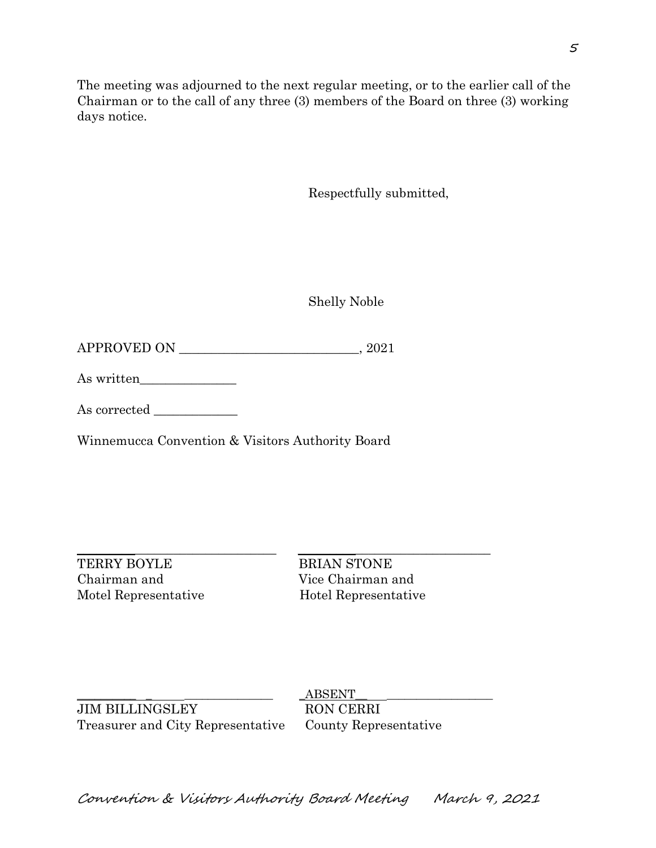The meeting was adjourned to the next regular meeting, or to the earlier call of the Chairman or to the call of any three (3) members of the Board on three (3) working days notice.

Respectfully submitted,

Shelly Noble

APPROVED ON \_\_\_\_\_\_\_\_\_\_\_\_\_\_\_\_\_\_\_\_\_\_\_\_\_\_\_\_, 2021

As written\_\_\_\_\_\_\_\_\_\_\_\_\_\_\_

As corrected \_\_\_\_\_\_\_\_\_\_\_\_\_

Winnemucca Convention & Visitors Authority Board

TERRY BOYLE BRIAN STONE Chairman and Vice Chairman and

\_\_\_\_\_\_\_\_\_\_\_\_\_\_\_\_\_\_\_\_\_\_\_\_\_\_\_\_\_\_\_ \_\_\_\_\_\_\_\_\_\_\_\_\_\_\_\_\_\_\_\_\_\_\_\_\_\_\_\_\_\_ Motel Representative Hotel Representative

JIM BILLINGSLEY RON CERRI Treasurer and City Representative County Representative

 $\operatorname{ABSENT}$ 

5

Convention & Visitors Authority Board Meeting March 9, 2021